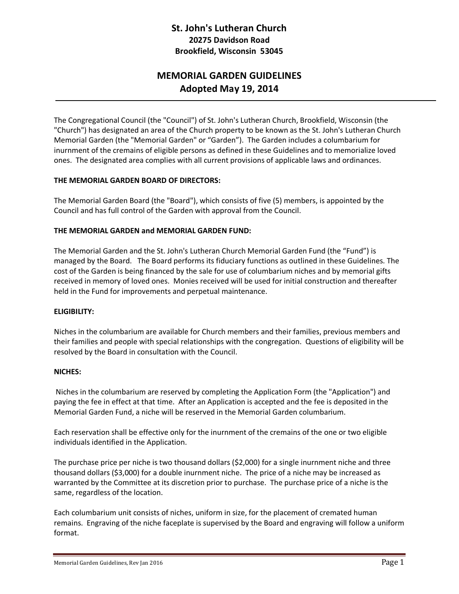# **St. John's Lutheran Church 20275 Davidson Road Brookfield, Wisconsin 53045**

# **MEMORIAL GARDEN GUIDELINES Adopted May 19, 2014**

The Congregational Council (the "Council") of St. John's Lutheran Church, Brookfield, Wisconsin (the "Church") has designated an area of the Church property to be known as the St. John's Lutheran Church Memorial Garden (the "Memorial Garden" or "Garden"). The Garden includes a columbarium for inurnment of the cremains of eligible persons as defined in these Guidelines and to memorialize loved ones. The designated area complies with all current provisions of applicable laws and ordinances.

#### **THE MEMORIAL GARDEN BOARD OF DIRECTORS:**

The Memorial Garden Board (the "Board"), which consists of five (5) members, is appointed by the Council and has full control of the Garden with approval from the Council.

# **THE MEMORIAL GARDEN and MEMORIAL GARDEN FUND:**

The Memorial Garden and the St. John's Lutheran Church Memorial Garden Fund (the "Fund") is managed by the Board. The Board performs its fiduciary functions as outlined in these Guidelines. The cost of the Garden is being financed by the sale for use of columbarium niches and by memorial gifts received in memory of loved ones. Monies received will be used for initial construction and thereafter held in the Fund for improvements and perpetual maintenance.

#### **ELIGIBILITY:**

Niches in the columbarium are available for Church members and their families, previous members and their families and people with special relationships with the congregation. Questions of eligibility will be resolved by the Board in consultation with the Council.

#### **NICHES:**

Niches in the columbarium are reserved by completing the Application Form (the "Application") and paying the fee in effect at that time. After an Application is accepted and the fee is deposited in the Memorial Garden Fund, a niche will be reserved in the Memorial Garden columbarium.

Each reservation shall be effective only for the inurnment of the cremains of the one or two eligible individuals identified in the Application.

The purchase price per niche is two thousand dollars (\$2,000) for a single inurnment niche and three thousand dollars (\$3,000) for a double inurnment niche. The price of a niche may be increased as warranted by the Committee at its discretion prior to purchase. The purchase price of a niche is the same, regardless of the location.

Each columbarium unit consists of niches, uniform in size, for the placement of cremated human remains. Engraving of the niche faceplate is supervised by the Board and engraving will follow a uniform format.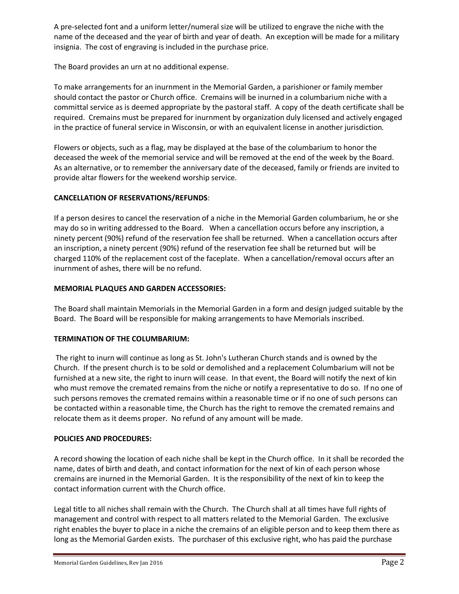A pre-selected font and a uniform letter/numeral size will be utilized to engrave the niche with the name of the deceased and the year of birth and year of death. An exception will be made for a military insignia. The cost of engraving is included in the purchase price.

The Board provides an urn at no additional expense.

To make arrangements for an inurnment in the Memorial Garden, a parishioner or family member should contact the pastor or Church office. Cremains will be inurned in a columbarium niche with a committal service as is deemed appropriate by the pastoral staff. A copy of the death certificate shall be required. Cremains must be prepared for inurnment by organization duly licensed and actively engaged in the practice of funeral service in Wisconsin, or with an equivalent license in another jurisdiction*.*

Flowers or objects, such as a flag, may be displayed at the base of the columbarium to honor the deceased the week of the memorial service and will be removed at the end of the week by the Board. As an alternative, or to remember the anniversary date of the deceased, family or friends are invited to provide altar flowers for the weekend worship service.

# **CANCELLATION OF RESERVATIONS/REFUNDS**:

If a person desires to cancel the reservation of a niche in the Memorial Garden columbarium, he or she may do so in writing addressed to the Board. When a cancellation occurs before any inscription, a ninety percent (90%) refund of the reservation fee shall be returned. When a cancellation occurs after an inscription, a ninety percent (90%) refund of the reservation fee shall be returned but will be charged 110% of the replacement cost of the faceplate. When a cancellation/removal occurs after an inurnment of ashes, there will be no refund.

# **MEMORIAL PLAQUES AND GARDEN ACCESSORIES:**

The Board shall maintain Memorials in the Memorial Garden in a form and design judged suitable by the Board. The Board will be responsible for making arrangements to have Memorials inscribed.

#### **TERMINATION OF THE COLUMBARIUM:**

The right to inurn will continue as long as St. John's Lutheran Church stands and is owned by the Church. If the present church is to be sold or demolished and a replacement Columbarium will not be furnished at a new site, the right to inurn will cease. In that event, the Board will notify the next of kin who must remove the cremated remains from the niche or notify a representative to do so. If no one of such persons removes the cremated remains within a reasonable time or if no one of such persons can be contacted within a reasonable time, the Church has the right to remove the cremated remains and relocate them as it deems proper. No refund of any amount will be made.

#### **POLICIES AND PROCEDURES:**

A record showing the location of each niche shall be kept in the Church office. In it shall be recorded the name, dates of birth and death, and contact information for the next of kin of each person whose cremains are inurned in the Memorial Garden. It is the responsibility of the next of kin to keep the contact information current with the Church office.

Legal title to all niches shall remain with the Church. The Church shall at all times have full rights of management and control with respect to all matters related to the Memorial Garden. The exclusive right enables the buyer to place in a niche the cremains of an eligible person and to keep them there as long as the Memorial Garden exists. The purchaser of this exclusive right, who has paid the purchase